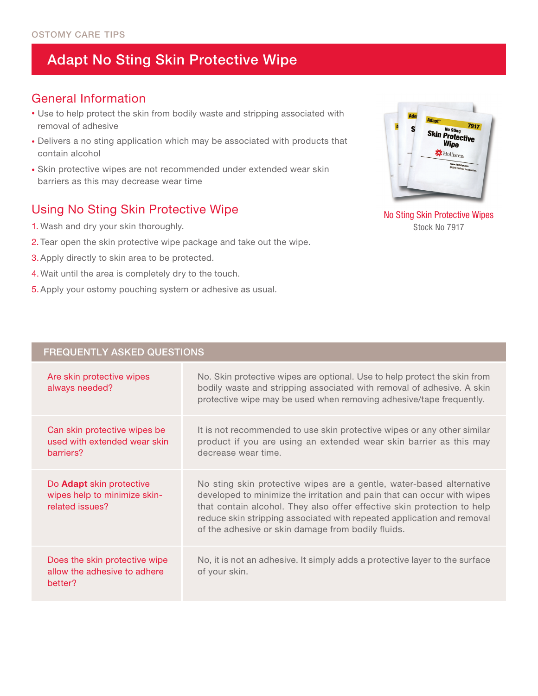# Adapt No Sting Skin Protective Wipe

#### General Information

- Use to help protect the skin from bodily waste and stripping associated with removal of adhesive
- Delivers a no sting application which may be associated with products that contain alcohol
- Skin protective wipes are not recommended under extended wear skin barriers as this may decrease wear time

### Using No Sting Skin Protective Wipe

- 1. Wash and dry your skin thoroughly.
- 2. Tear open the skin protective wipe package and take out the wipe.
- 3.Apply directly to skin area to be protected.
- 4. Wait until the area is completely dry to the touch.
- 5.Apply your ostomy pouching system or adhesive as usual.



No Sting Skin Protective Wipes Stock No 7917

| <b>FREQUENTLY ASKED QUESTIONS</b>                                           |                                                                                                                                                                                                                                                                                                                                                            |
|-----------------------------------------------------------------------------|------------------------------------------------------------------------------------------------------------------------------------------------------------------------------------------------------------------------------------------------------------------------------------------------------------------------------------------------------------|
| Are skin protective wipes<br>always needed?                                 | No. Skin protective wipes are optional. Use to help protect the skin from<br>bodily waste and stripping associated with removal of adhesive. A skin<br>protective wipe may be used when removing adhesive/tape frequently.                                                                                                                                 |
| Can skin protective wipes be<br>used with extended wear skin<br>barriers?   | It is not recommended to use skin protective wipes or any other similar<br>product if you are using an extended wear skin barrier as this may<br>decrease wear time.                                                                                                                                                                                       |
| Do Adapt skin protective<br>wipes help to minimize skin-<br>related issues? | No sting skin protective wipes are a gentle, water-based alternative<br>developed to minimize the irritation and pain that can occur with wipes<br>that contain alcohol. They also offer effective skin protection to help<br>reduce skin stripping associated with repeated application and removal<br>of the adhesive or skin damage from bodily fluids. |
| Does the skin protective wipe<br>allow the adhesive to adhere<br>better?    | No, it is not an adhesive. It simply adds a protective layer to the surface<br>of your skin.                                                                                                                                                                                                                                                               |